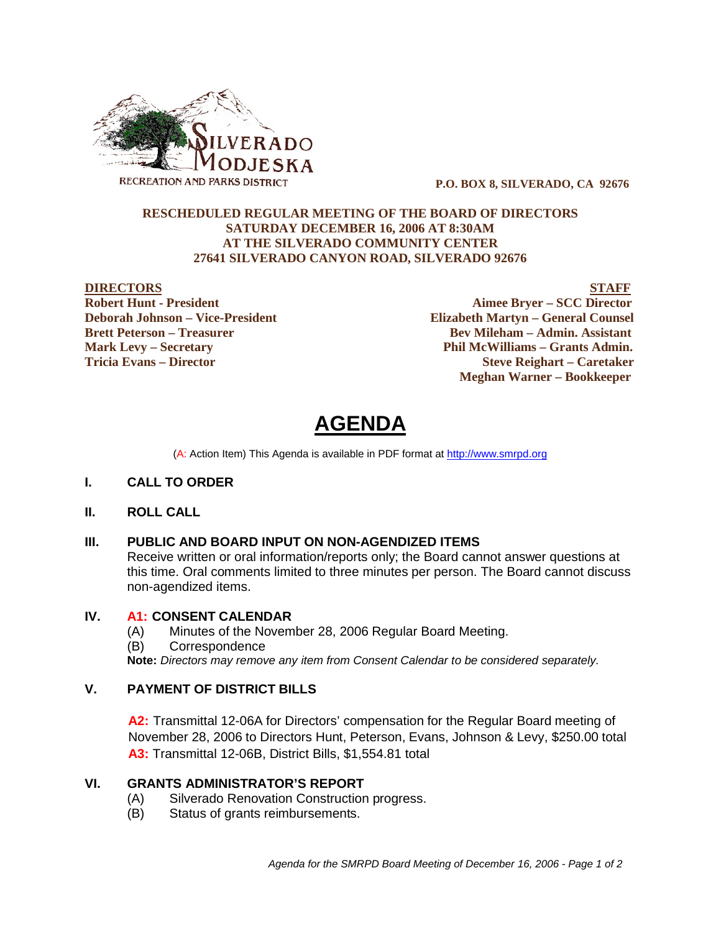

 **P.O. BOX 8, SILVERADO, CA 92676**

#### **RESCHEDULED REGULAR MEETING OF THE BOARD OF DIRECTORS SATURDAY DECEMBER 16, 2006 AT 8:30AM AT THE SILVERADO COMMUNITY CENTER 27641 SILVERADO CANYON ROAD, SILVERADO 92676**

**DIRECTORS STAFF Robert Hunt - President Aimee Bryer – SCC Director Deborah Johnson – Vice-President Elizabeth Martyn – General Counsel Brett Peterson – Treasurer Serverson – Bev Mileham – Admin. Assistant Mark Levy – Secretary Phil McWilliams – Grants Admin. Tricia Evans – Director Steve Reighart – Caretaker Meghan Warner – Bookkeeper**

# **AGENDA**

(A: Action Item) This Agenda is available in PDF format at http://www.smrpd.org

#### **I. CALL TO ORDER**

### **II. ROLL CALL**

#### **III. PUBLIC AND BOARD INPUT ON NON-AGENDIZED ITEMS**

Receive written or oral information/reports only; the Board cannot answer questions at this time. Oral comments limited to three minutes per person. The Board cannot discuss non-agendized items.

# **IV. A1: CONSENT CALENDAR**

- (A) Minutes of the November 28, 2006 Regular Board Meeting.<br>(B) Correspondence
- **Correspondence**

**Note:** *Directors may remove any item from Consent Calendar to be considered separately.*

# **V. PAYMENT OF DISTRICT BILLS**

**A2:** Transmittal 12-06A for Directors' compensation for the Regular Board meeting of November 28, 2006 to Directors Hunt, Peterson, Evans, Johnson & Levy, \$250.00 total **A3:** Transmittal 12-06B, District Bills, \$1,554.81 total

# **VI. GRANTS ADMINISTRATOR'S REPORT**

- (A) Silverado Renovation Construction progress.
- (B) Status of grants reimbursements.